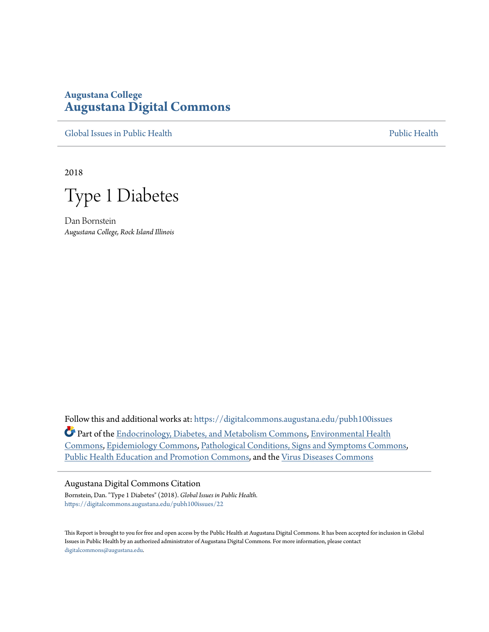# **Augustana College [Augustana Digital Commons](https://digitalcommons.augustana.edu?utm_source=digitalcommons.augustana.edu%2Fpubh100issues%2F22&utm_medium=PDF&utm_campaign=PDFCoverPages)**

[Global Issues in Public Health](https://digitalcommons.augustana.edu/pubh100issues?utm_source=digitalcommons.augustana.edu%2Fpubh100issues%2F22&utm_medium=PDF&utm_campaign=PDFCoverPages) [Public Health](https://digitalcommons.augustana.edu/publichealth?utm_source=digitalcommons.augustana.edu%2Fpubh100issues%2F22&utm_medium=PDF&utm_campaign=PDFCoverPages) Public Health Public Health Public Health

2018

Type 1 Diabetes

Dan Bornstein *Augustana College, Rock Island Illinois*

Follow this and additional works at: [https://digitalcommons.augustana.edu/pubh100issues](https://digitalcommons.augustana.edu/pubh100issues?utm_source=digitalcommons.augustana.edu%2Fpubh100issues%2F22&utm_medium=PDF&utm_campaign=PDFCoverPages)

Part of the [Endocrinology, Diabetes, and Metabolism Commons](http://network.bepress.com/hgg/discipline/686?utm_source=digitalcommons.augustana.edu%2Fpubh100issues%2F22&utm_medium=PDF&utm_campaign=PDFCoverPages), [Environmental Health](http://network.bepress.com/hgg/discipline/64?utm_source=digitalcommons.augustana.edu%2Fpubh100issues%2F22&utm_medium=PDF&utm_campaign=PDFCoverPages) [Commons,](http://network.bepress.com/hgg/discipline/64?utm_source=digitalcommons.augustana.edu%2Fpubh100issues%2F22&utm_medium=PDF&utm_campaign=PDFCoverPages) [Epidemiology Commons](http://network.bepress.com/hgg/discipline/740?utm_source=digitalcommons.augustana.edu%2Fpubh100issues%2F22&utm_medium=PDF&utm_campaign=PDFCoverPages), [Pathological Conditions, Signs and Symptoms Commons,](http://network.bepress.com/hgg/discipline/1004?utm_source=digitalcommons.augustana.edu%2Fpubh100issues%2F22&utm_medium=PDF&utm_campaign=PDFCoverPages) [Public Health Education and Promotion Commons,](http://network.bepress.com/hgg/discipline/743?utm_source=digitalcommons.augustana.edu%2Fpubh100issues%2F22&utm_medium=PDF&utm_campaign=PDFCoverPages) and the [Virus Diseases Commons](http://network.bepress.com/hgg/discipline/998?utm_source=digitalcommons.augustana.edu%2Fpubh100issues%2F22&utm_medium=PDF&utm_campaign=PDFCoverPages)

#### Augustana Digital Commons Citation

Bornstein, Dan. "Type 1 Diabetes" (2018). *Global Issues in Public Health.* [https://digitalcommons.augustana.edu/pubh100issues/22](https://digitalcommons.augustana.edu/pubh100issues/22?utm_source=digitalcommons.augustana.edu%2Fpubh100issues%2F22&utm_medium=PDF&utm_campaign=PDFCoverPages)

This Report is brought to you for free and open access by the Public Health at Augustana Digital Commons. It has been accepted for inclusion in Global Issues in Public Health by an authorized administrator of Augustana Digital Commons. For more information, please contact [digitalcommons@augustana.edu.](mailto:digitalcommons@augustana.edu)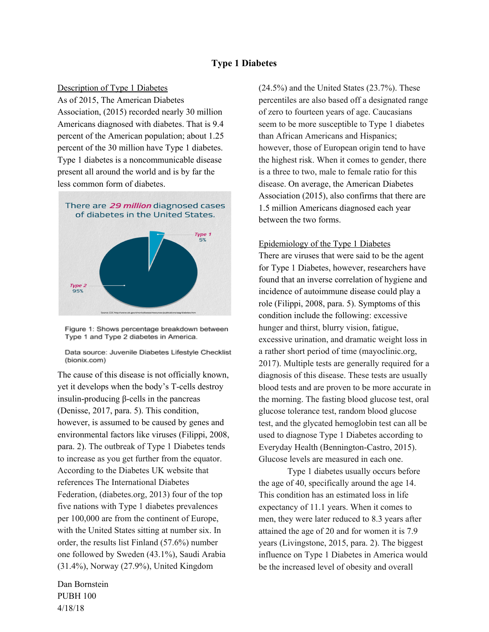# **Type 1 Diabetes**

### Description of Type 1 Diabetes

As of 2015, The American Diabetes Association, (2015) recorded nearly 30 million Americans diagnosed with diabetes. That is 9.4 percent of the American population; about 1.25 percent of the 30 million have Type 1 diabetes. Type 1 diabetes is a noncommunicable disease present all around the world and is by far the less common form of diabetes.



Figure 1: Shows percentage breakdown between Type 1 and Type 2 diabetes in America.

Data source: Juvenile Diabetes Lifestyle Checklist (bionix.com)

The cause of this disease is not officially known, yet it develops when the body's T-cells destroy insulin-producing β-cells in the pancreas (Denisse, 2017, para. 5). This condition, however, is assumed to be caused by genes and environmental factors like viruses (Filippi, 2008, para. 2). The outbreak of Type 1 Diabetes tends to increase as you get further from the equator. According to the Diabetes UK website that references The International Diabetes Federation, (diabetes.org, 2013) four of the top five nations with Type 1 diabetes prevalences per 100,000 are from the continent of Europe, with the United States sitting at number six. In order, the results list Finland (57.6%) number one followed by Sweden (43.1%), Saudi Arabia (31.4%), Norway (27.9%), United Kingdom

(24.5%) and the United States (23.7%). These percentiles are also based off a designated range of zero to fourteen years of age. Caucasians seem to be more susceptible to Type 1 diabetes than African Americans and Hispanics; however, those of European origin tend to have the highest risk. When it comes to gender, there is a three to two, male to female ratio for this disease. On average, the American Diabetes Association (2015), also confirms that there are 1.5 million Americans diagnosed each year between the two forms.

#### Epidemiology of the Type 1 Diabetes

There are viruses that were said to be the agent for Type 1 Diabetes, however, researchers have found that an inverse correlation of hygiene and incidence of autoimmune disease could play a role (Filippi, 2008, para. 5). Symptoms of this condition include the following: excessive hunger and thirst, blurry vision, fatigue, excessive urination, and dramatic weight loss in a rather short period of time (mayoclinic.org, 2017). Multiple tests are generally required for a diagnosis of this disease. These tests are usually blood tests and are proven to be more accurate in the morning. The fasting blood glucose test, oral glucose tolerance test, random blood glucose test, and the glycated hemoglobin test can all be used to diagnose Type 1 Diabetes according to Everyday Health (Bennington-Castro, 2015). Glucose levels are measured in each one.

Type 1 diabetes usually occurs before the age of 40, specifically around the age 14. This condition has an estimated loss in life expectancy of 11.1 years. When it comes to men, they were later reduced to 8.3 years after attained the age of 20 and for women it is 7.9 years (Livingstone, 2015, para. 2). The biggest influence on Type 1 Diabetes in America would be the increased level of obesity and overall

Dan Bornstein PUBH 100 4/18/18